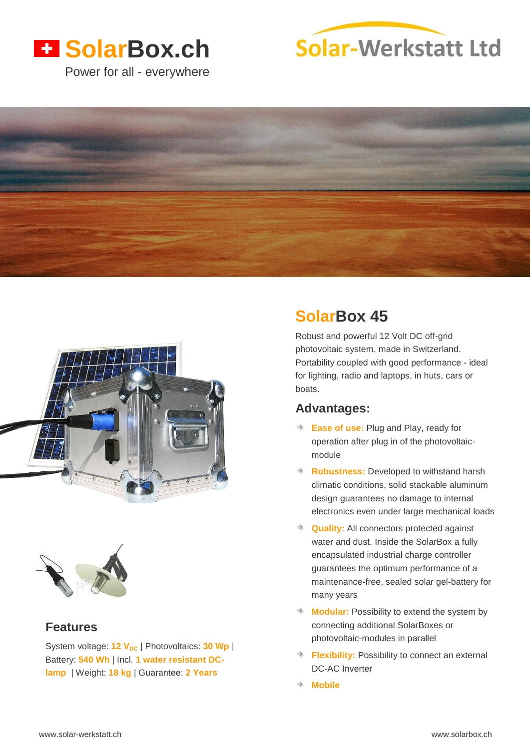# **H** SolarBox.ch

Power for all - everywhere









## **Features**

System voltage: 12 V<sub>DC</sub> | Photovoltaics: 30 Wp | Battery: **540 Wh** | Incl. **1 water resistant DClamp** | Weight: **18 kg** | Guarantee: **2 Years**

# **SolarBox 45**

Robust and powerful 12 Volt DC off-grid photovoltaic system, made in Switzerland. Portability coupled with good performance - ideal for lighting, radio and laptops, in huts, cars or boats.

## **Advantages:**

- **Ease of use: Plug and Play, ready for** operation after plug in of the photovoltaicmodule
- **Robustness:** Developed to withstand harsh climatic conditions, solid stackable aluminum design guarantees no damage to internal electronics even under large mechanical loads
- **Quality:** All connectors protected against water and dust. Inside the SolarBox a fully encapsulated industrial charge controller guarantees the optimum performance of a maintenance-free, sealed solar gel-battery for many years
- **Modular:** Possibility to extend the system by connecting additional SolarBoxes or photovoltaic-modules in parallel
- **Flexibility:** Possibility to connect an external DC-AC Inverter
- **Mobile**